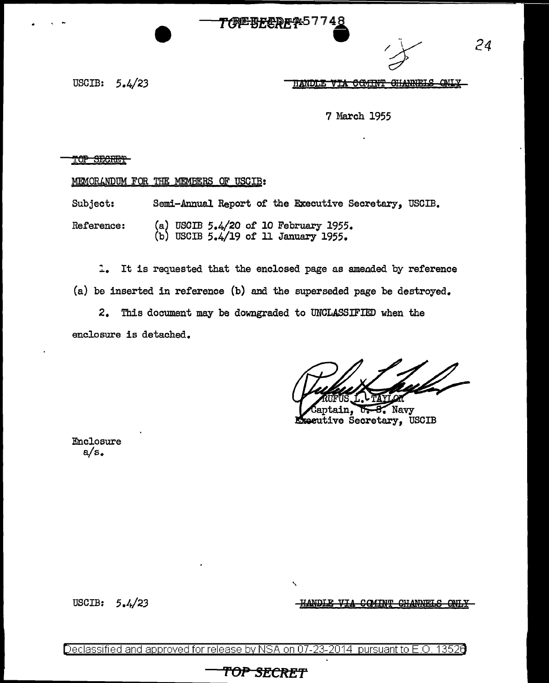## <del>77%EBFLQ</del>@R%5774<u>8</u>



*24* 

USCIB: 5.4/23

 $\ddot{\phantom{1}}$ 

7 March 1955

### TOP SECRET

MEMORANDUM FOR THE MEMBERS OF USCIB:

Subject: Semi-Annual Report of the Executive Secretary, USCIB.

Reference: (a) USOIB 5.4/20 of 10 February 1955. (b) USCIB 5.4/19 of 11 January 1955.

:. It is requested that the enclosed page as ameaded by reference (a) be inserted in reference (b) and the superseded page be destroyed.

2. This document may be downgraded to UNCLASSIFIED when the enclosure is detached.

aptain, Navy Executive Secretary, USCIB

Enclosure a/s.

USCIB: 5.4/23

<del>QAINT CHANNELS</del>

Declassified and approved for release by NSA on 07-23-2014 pursuant to E.O. 13526

# **'f'OP SECRET**